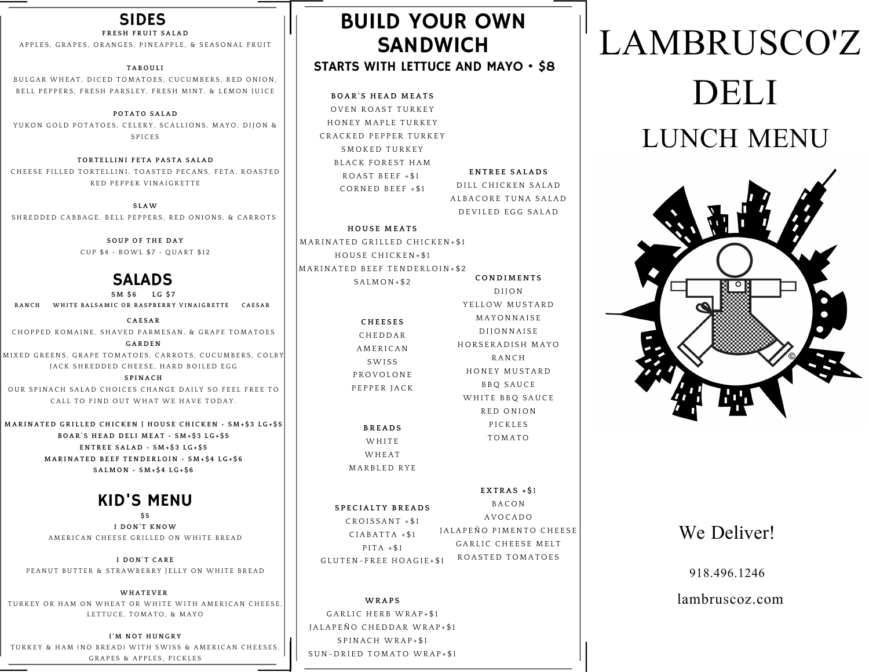#### SIDES

#### $F$ **RESH FRUIT SALAD**

A P P L E S , G R A P E S , O R A N G E S . P I N E A P P L E , & S E A S O N A L F R U I T

#### **TAB O U L I**

BULGAR WHEAT, DICED TOMATOES, CUCUMBERS, RED ONION, BELL PEPPERS, FRESH PARSLEY, FRESH MINT, & LEMON JUICE

**P O TAT O SALA D** YUKON GOLD POTATOES, CELERY, SCALLIONS, MAYO, DIJON & S P I C E S

**T O R T E L L I N I F E TA PAS TA SALA D** CHEESE FILLED TORTELLINI, TOASTED PECANS, FETA, ROASTED RED PEPPER VINAIGRETTE

**S LAW** S HREDDED CABBAGE, BELL PEPPERS, RED ONIONS, & CARROTS

> **S O U P O F T H E D AY** CUP \$4 · BOWL \$7 · QUART \$12

#### SALADS

**S M \$ 6 L G \$ 7** RANCH WHITE BALSAMIC OR RASPBERRY VINAIGRETTE CAESAR

**CAE SAR** C HOPPED ROMAINE, SHAVED PARMESAN, & GRAPE TOMATOES **G AR D E N**

MIXED GREENS. GRAPE TOMATOES, CARROTS, CUCUMBERS, COLBY JACK SHREDDED CHEESE. HARD BOILED EGG

**S P I N AC H** OUR SPINACH SALAD CHOICES CHANGE DAILY SO FEEL FREE TO CALL TO FIND OUT WHAT WE HAVE TODAY.

MARINATED GRILLED CHICKEN | HOUSE CHICKEN · SM+S3 LG+S5 BOAR'S HEAD DELI MEAT · SM+\$3 LG+\$5 **E N T R E E SALA D • S M + \$ 3 L G + \$ 5** MARINATED BEEF TENDERLOIN · SM+\$4 LG+\$6 **SAL M O N • S M + \$ 4 L G + \$ 6**

### KID'S MENU

**\$ 5 I D O N ' T K N OW** A MERICAN CHEESE GRILLED ON WHITE BREAD

**I D O N ' T CAR E** PEANUT BUTTER & STRAWBERRY JELLY ON WHITE BREAD

**WH AT E V E R** TURKEY OR HAM ON WHEAT OR WHITE WITH AMERICAN CHEESE LETTUCE, TOMATO, & MAYO

**I' M N O T H U N G R Y** TURKEY & HAM (NO BREAD) WITH SWISS & AMERICAN CHEESES GRAPES & APPLES, PICKLES

## BUILD YOUR OWN SANDWICH STARTS WITH LETTUCE AND MAYO • \$8

**B O AR ' S H EA D M EAT S** OVEN ROAST TURKEY HONEY MAPLE TURKEY CRACKED PEPPER TURKEY SMOKED TURKEY BLACK FOREST HAM  $ROAST BEEF + $1$ CORNED BEEF +\$1

**E N T R E E SALA D S** DILL CHICKEN SALAD

ALBACORE TUNA SALAD D E VILED EGG SALAD

D I J O N YELLOW MUSTARD M A Y O N N A I S E D I JONNAISE HORSERADISH MAYO **RANCH** HONEY MUSTARD **BBQ SAUCE** WHITE BBQ SAUCE R E D O N I O N P I C K L E S **TOMATO** 

#### **H O U S E M EAT S**

**C O N D I M E N T S** MARINATED GRILLED CHICKEN+\$1 HOUSE CHICKEN+\$1 MARINATED BEEF TENDERLOIN+\$2  $SALMON+$2$ 

> **C H E E S E S CHEDDAR AMERICAN** SWISS **PROVOLONE** PEPPER JACK

**B R EA D S WHITE WHEAT** MARBLED RYE

#### **E X T RAS + \$** 1

**BACON** A V O C A D O JALAPEÑO PIMENTO CHEESE GARLIC CHEESE MELT ROASTED TOMATOES **S P E C IAL T Y B R EA D S**  $CROISSANT + $1$  $CIABATTA + $1$  $P$ I T A + \$1 G L U T E N - F R E E H O A G I E + \$1

**WRAP S** GARLIC HERB WRAP+\$1 J A L A P E Ñ O C H E D D A R W R A P + \$1 SPINACH WRAP+\$1 SUN-DRIED TOMATO WRAP+\$1

# LAMBRUSCO'Z DELI LUNCH MENU



## We Deliver!

918.496.1246

lambruscoz.com